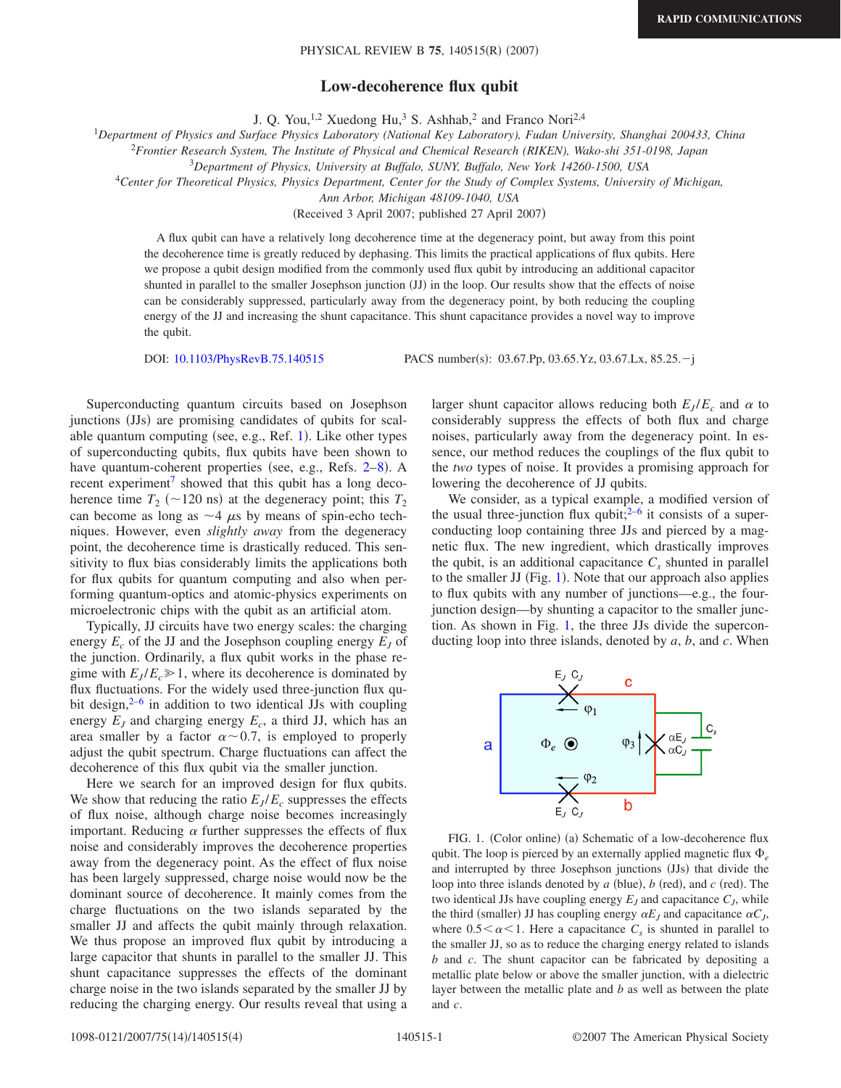## **Low-decoherence flux qubit**

J. Q. You,<sup>1,2</sup> Xuedong Hu,<sup>3</sup> S. Ashhab,<sup>2</sup> and Franco Nori<sup>2,4</sup>

1 *Department of Physics and Surface Physics Laboratory (National Key Laboratory), Fudan University, Shanghai 200433, China*

<sup>2</sup>*Frontier Research System, The Institute of Physical and Chemical Research (RIKEN), Wako-shi 351-0198, Japan*

3 *Department of Physics, University at Buffalo, SUNY, Buffalo, New York 14260-1500, USA*

<sup>4</sup>*Center for Theoretical Physics, Physics Department, Center for the Study of Complex Systems, University of Michigan,*

*Ann Arbor, Michigan 48109-1040, USA*

(Received 3 April 2007; published 27 April 2007)

A flux qubit can have a relatively long decoherence time at the degeneracy point, but away from this point the decoherence time is greatly reduced by dephasing. This limits the practical applications of flux qubits. Here we propose a qubit design modified from the commonly used flux qubit by introducing an additional capacitor shunted in parallel to the smaller Josephson junction (JJ) in the loop. Our results show that the effects of noise can be considerably suppressed, particularly away from the degeneracy point, by both reducing the coupling energy of the JJ and increasing the shunt capacitance. This shunt capacitance provides a novel way to improve the qubit.

DOI: [10.1103/PhysRevB.75.140515](http://dx.doi.org/10.1103/PhysRevB.75.140515)

PACS number(s):  $03.67 \text{.}$ Pp,  $03.65 \text{.}$ Yz,  $03.67 \text{.}$ Lx,  $85.25 \text{-.}$ j

Superconducting quantum circuits based on Josephson junctions (JJs) are promising candidates of qubits for scal-able quantum computing (see, e.g., Ref. [1](#page-3-0)). Like other types of superconducting qubits, flux qubits have been shown to have quantum-coherent properties (see, e.g., Refs. 2-[8](#page-3-2)). A recent experiment<sup>7</sup> showed that this qubit has a long decoherence time  $T_2$  ( $\sim$ 120 ns) at the degeneracy point; this  $T_2$ can become as long as  $\sim$  4  $\mu$ s by means of spin-echo techniques. However, even *slightly away* from the degeneracy point, the decoherence time is drastically reduced. This sensitivity to flux bias considerably limits the applications both for flux qubits for quantum computing and also when performing quantum-optics and atomic-physics experiments on microelectronic chips with the qubit as an artificial atom.

Typically, JJ circuits have two energy scales: the charging energy  $E_c$  of the JJ and the Josephson coupling energy  $E_j$  of the junction. Ordinarily, a flux qubit works in the phase regime with  $E_J/E_c \geq 1$ , where its decoherence is dominated by flux fluctuations. For the widely used three-junction flux qubit design, $2^{-6}$  in addition to two identical JJs with coupling energy  $E_J$  and charging energy  $E_c$ , a third JJ, which has an area smaller by a factor  $\alpha \sim 0.7$ , is employed to properly adjust the qubit spectrum. Charge fluctuations can affect the decoherence of this flux qubit via the smaller junction.

Here we search for an improved design for flux qubits. We show that reducing the ratio  $E_J/E_c$  suppresses the effects of flux noise, although charge noise becomes increasingly important. Reducing  $\alpha$  further suppresses the effects of flux noise and considerably improves the decoherence properties away from the degeneracy point. As the effect of flux noise has been largely suppressed, charge noise would now be the dominant source of decoherence. It mainly comes from the charge fluctuations on the two islands separated by the smaller JJ and affects the qubit mainly through relaxation. We thus propose an improved flux qubit by introducing a large capacitor that shunts in parallel to the smaller JJ. This shunt capacitance suppresses the effects of the dominant charge noise in the two islands separated by the smaller JJ by reducing the charging energy. Our results reveal that using a larger shunt capacitor allows reducing both  $E_J/E_c$  and  $\alpha$  to considerably suppress the effects of both flux and charge noises, particularly away from the degeneracy point. In essence, our method reduces the couplings of the flux qubit to the *two* types of noise. It provides a promising approach for lowering the decoherence of JJ qubits.

We consider, as a typical example, a modified version of the usual three-junction flux qubit;  $2^{-6}$  $2^{-6}$  $2^{-6}$  it consists of a superconducting loop containing three JJs and pierced by a magnetic flux. The new ingredient, which drastically improves the qubit, is an additional capacitance  $C_s$  shunted in parallel to the smaller JJ (Fig. [1](#page-0-0)). Note that our approach also applies to flux qubits with any number of junctions—e.g., the fourjunction design—by shunting a capacitor to the smaller junction. As shown in Fig. [1,](#page-0-0) the three JJs divide the superconducting loop into three islands, denoted by *a*, *b*, and *c*. When

<span id="page-0-0"></span>

FIG. 1. (Color online) (a) Schematic of a low-decoherence flux qubit. The loop is pierced by an externally applied magnetic flux  $\Phi_e$ and interrupted by three Josephson junctions (JJs) that divide the loop into three islands denoted by  $a$  (blue),  $b$  (red), and  $c$  (red). The two identical JJs have coupling energy  $E_J$  and capacitance  $C_J$ , while the third (smaller) JJ has coupling energy  $\alpha E_J$  and capacitance  $\alpha C_J$ , where  $0.5<\alpha<1$ . Here a capacitance  $C_s$  is shunted in parallel to the smaller JJ, so as to reduce the charging energy related to islands *b* and *c*. The shunt capacitor can be fabricated by depositing a metallic plate below or above the smaller junction, with a dielectric layer between the metallic plate and *b* as well as between the plate and *c*.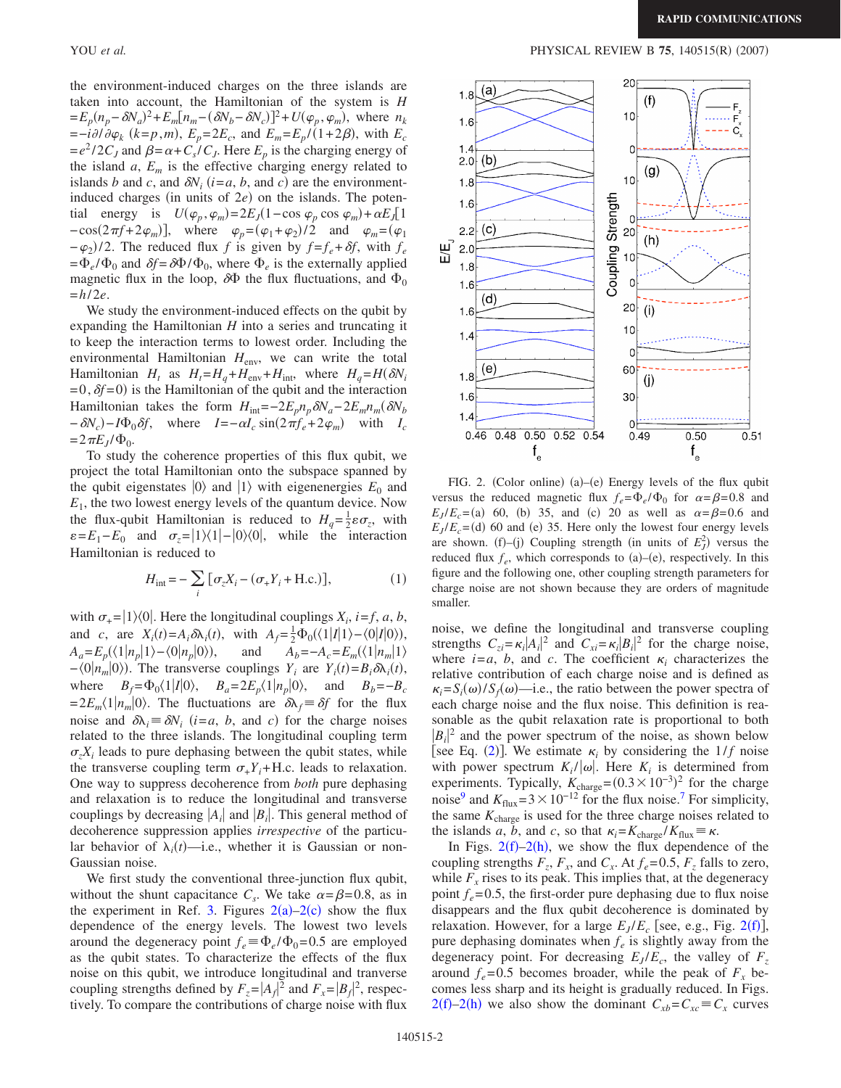the environment-induced charges on the three islands are taken into account, the Hamiltonian of the system is *H*  $=E_p(n_p - \delta N_a)^2 + E_m[n_m - (\delta N_b - \delta N_c)]^2 + U(\varphi_p, \varphi_m)$ , where  $n_k$  $=-i\partial/\partial\varphi_k$  ( $k=p,m$ ),  $E_p=2E_c$ , and  $E_m=E_p/(1+2\beta)$ , with  $E_c$  $=e^2/2C_J$  and  $\beta = \alpha + C_s/C_J$ . Here  $E_p$  is the charging energy of the island  $a$ ,  $E_m$  is the effective charging energy related to islands *b* and *c*, and  $\delta N_i$  ( $i = a, b$ , and *c*) are the environmentinduced charges (in units of  $2e$ ) on the islands. The potential energy is  $U(\varphi_p, \varphi_m) = 2E_J(1 - \cos \varphi_p \cos \varphi_m) + \alpha E_J[1]$  $-\cos(2\pi f + 2\varphi_m)$ , where  $\varphi_p = (\varphi_1 + \varphi_2)/2$  and  $\varphi_m = (\varphi_1 + \varphi_2)/2$  $(-\varphi_2)/2$ . The reduced flux *f* is given by  $f = f_e + \delta f$ , with  $f_e$  $=\Phi_e/\Phi_0$  and  $\delta f = \delta \Phi/\Phi_0$ , where  $\Phi_e$  is the externally applied magnetic flux in the loop,  $\delta\Phi$  the flux fluctuations, and  $\Phi_0$  $= h/2e$ .

We study the environment-induced effects on the qubit by expanding the Hamiltonian *H* into a series and truncating it to keep the interaction terms to lowest order. Including the environmental Hamiltonian *H*<sub>env</sub>, we can write the total Hamiltonian  $H_t$  as  $H_t = H_q + H_{env} + H_{int}$ , where  $H_q = H(\delta N_i)$  $=0, \delta f = 0$ ) is the Hamiltonian of the qubit and the interaction Hamiltonian takes the form  $H_{int}=-2E_p n_p \delta N_a-2E_m n_m(\delta N_b)$  $-\delta N_c$ ) -  $I\Phi_0 \delta f$ , where  $I = -\alpha I_c \sin(2\pi f_e + 2\varphi_m)$  with  $I_c$  $= 2 \pi E_J / \Phi_0$ .

To study the coherence properties of this flux qubit, we project the total Hamiltonian onto the subspace spanned by the qubit eigenstates  $|0\rangle$  and  $|1\rangle$  with eigenenergies  $E_0$  and *E*1, the two lowest energy levels of the quantum device. Now the flux-qubit Hamiltonian is reduced to  $H_q = \frac{1}{2} \varepsilon \sigma_z$ , with  $\varepsilon = E_1 - E_0$  and  $\sigma_z = |1\rangle\langle 1| - |0\rangle\langle 0|$ , while the interaction Hamiltonian is reduced to

$$
H_{\text{int}} = -\sum_{i} \left[ \sigma_{z} X_{i} - (\sigma_{+} Y_{i} + \text{H.c.}) \right], \tag{1}
$$

<span id="page-1-1"></span>with  $\sigma_{+} = |1\rangle\langle 0|$ . Here the longitudinal couplings  $X_i$ , *i*=*f*, *a*, *b*, and *c*, are  $X_i(t) = A_i \delta \lambda_i(t)$ , with  $A_f = \frac{1}{2} \Phi_0(\langle 1 | I | 1 \rangle - \langle 0 | I | 0 \rangle)$ ,  $A_a = E_p(\langle 1 | n_p | 1 \rangle - \langle 0 | n_p | 0 \rangle),$ and  $A_b = -A_c = E_m(\langle 1 | n_m | 1 \rangle)$  $-\langle 0 | n_m | 0 \rangle$ ). The transverse couplings *Y<sub>i</sub>* are *Y<sub>i</sub>*(*t*)=*B<sub>i</sub>* $\delta \lambda_i(t)$ , where  $B_f = \Phi_0 \langle 1 | I | 0 \rangle$ ,  $B_a = 2E_p \langle 1 | n_p | 0 \rangle$ , and  $B_b = -B_c$  $= 2E_m\langle 1 | n_m | 0 \rangle$ . The fluctuations are  $\delta \lambda_f = \delta f$  for the flux noise and  $\delta \lambda_i \equiv \delta N_i$  (*i*=*a*, *b*, and *c*) for the charge noises related to the three islands. The longitudinal coupling term  $\sigma_z X_i$  leads to pure dephasing between the qubit states, while the transverse coupling term  $\sigma_{+}Y_i$ +H.c. leads to relaxation. One way to suppress decoherence from *both* pure dephasing and relaxation is to reduce the longitudinal and transverse couplings by decreasing  $|A_i|$  and  $|B_i|$ . This general method of decoherence suppression applies *irrespective* of the particular behavior of  $\lambda_i(t)$ —i.e., whether it is Gaussian or non-Gaussian noise.

We first study the conventional three-junction flux qubit, without the shunt capacitance  $C_s$ . We take  $\alpha = \beta = 0.8$ , as in the experiment in Ref. [3.](#page-3-5) Figures  $2(a)-2(c)$  $2(a)-2(c)$  show the flux dependence of the energy levels. The lowest two levels around the degeneracy point  $f_e \equiv \Phi_e / \Phi_0 = 0.5$  are employed as the qubit states. To characterize the effects of the flux noise on this qubit, we introduce longitudinal and tranverse coupling strengths defined by  $F_z = |A_f|^2$  and  $F_x = |B_f|^2$ , respectively. To compare the contributions of charge noise with flux

YOU *et al.* PHYSICAL REVIEW B 75, 140515(R) (2007)

<span id="page-1-0"></span>

FIG. 2. (Color online) (a)–(e) Energy levels of the flux qubit versus the reduced magnetic flux  $f_e = \Phi_e / \Phi_0$  for  $\alpha = \beta = 0.8$  and  $E_J/E_c = (a)$  60, (b) 35, and (c) 20 as well as  $\alpha = \beta = 0.6$  and  $E_J/E_c =$ (d) 60 and (e) 35. Here only the lowest four energy levels are shown. (f)–(j) Coupling strength (in units of  $E_J^2$ ) versus the reduced flux  $f_e$ , which corresponds to  $(a)$ – $(e)$ , respectively. In this figure and the following one, other coupling strength parameters for charge noise are not shown because they are orders of magnitude smaller.

noise, we define the longitudinal and transverse coupling strengths  $C_{zi} = \kappa_i |A_i|^2$  and  $C_{xi} = \kappa_i |B_i|^2$  for the charge noise, where  $i = a$ , *b*, and *c*. The coefficient  $\kappa_i$  characterizes the relative contribution of each charge noise and is defined as  $\kappa_i = S_i(\omega) / S_f(\omega)$ —i.e., the ratio between the power spectra of each charge noise and the flux noise. This definition is reasonable as the qubit relaxation rate is proportional to both  $|B_i|^2$  and the power spectrum of the noise, as shown below [see Eq. ([2](#page-2-0))]. We estimate  $\kappa_i$  by considering the  $1/f$  noise with power spectrum  $K_i / |\omega|$ . Here  $K_i$  is determined from experiments. Typically,  $K_{charge} = (0.3 \times 10^{-3})^2$  for the charge noise<sup>9</sup> and  $K_{\text{flux}} = 3 \times 10^{-12}$  for the flux noise.<sup>7</sup> For simplicity, the same  $K_{charge}$  is used for the three charge noises related to the islands *a*, *b*, and *c*, so that  $\kappa_i = K_{\text{charge}} / K_{\text{flux}} = \kappa$ .

In Figs.  $2(f)-2(h)$  $2(f)-2(h)$ , we show the flux dependence of the coupling strengths  $F_z$ ,  $F_x$ , and  $C_x$ . At  $f_e = 0.5$ ,  $F_z$  falls to zero, while  $F<sub>x</sub>$  rises to its peak. This implies that, at the degeneracy point  $f_e$ =0.5, the first-order pure dephasing due to flux noise disappears and the flux qubit decoherence is dominated by relaxation. However, for a large  $E_J/E_c$  [see, e.g., Fig. [2](#page-1-0)(f)], pure dephasing dominates when  $f_e$  is slightly away from the degeneracy point. For decreasing  $E_J/E_c$ , the valley of  $F_z$ around  $f_e$ =0.5 becomes broader, while the peak of  $F_x$  becomes less sharp and its height is gradually reduced. In Figs.  $2(f)-2(h)$  $2(f)-2(h)$  we also show the dominant  $C_{xb} = C_{xc} \equiv C_x$  curves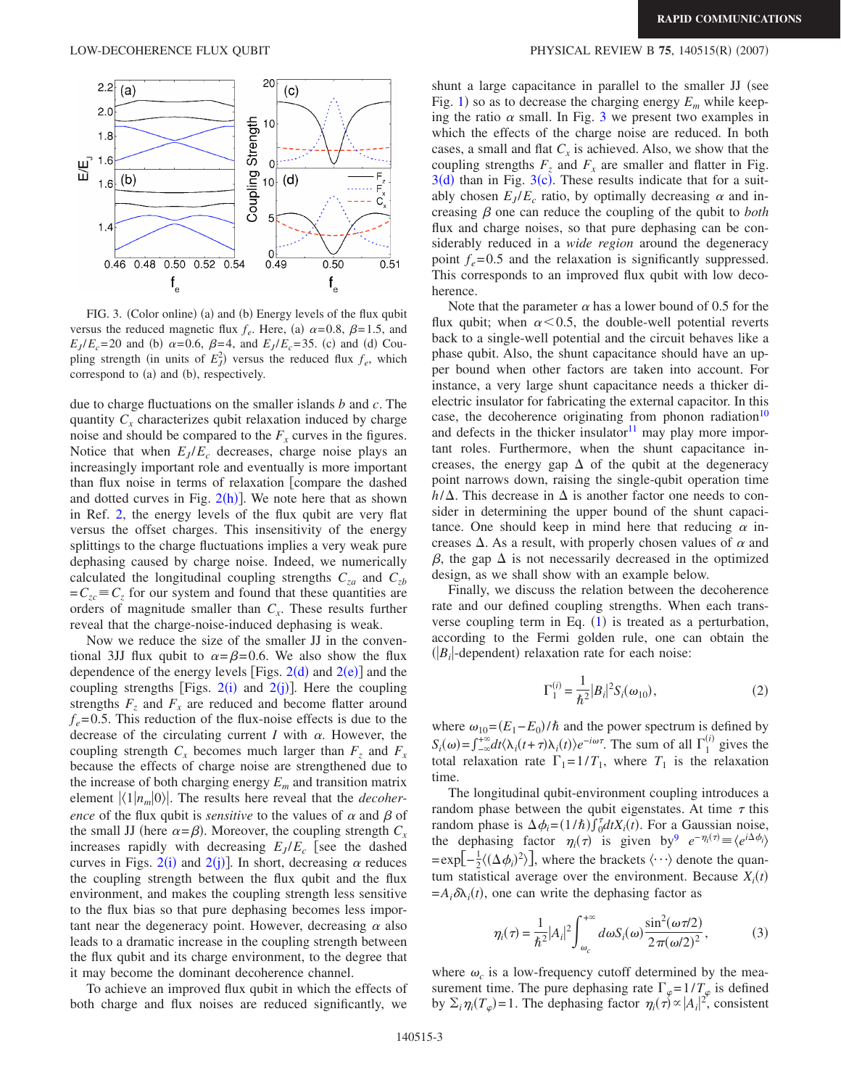<span id="page-2-1"></span>

FIG. 3. (Color online) (a) and (b) Energy levels of the flux qubit versus the reduced magnetic flux  $f_e$ . Here, (a)  $\alpha$ =0.8,  $\beta$ =1.5, and  $E_J/E_c = 20$  and (b)  $\alpha = 0.6$ ,  $\beta = 4$ , and  $E_J/E_c = 35$ . (c) and (d) Coupling strength (in units of  $E_J^2$ ) versus the reduced flux  $f_e$ , which correspond to (a) and (b), respectively.

due to charge fluctuations on the smaller islands *b* and *c*. The quantity  $C_x$  characterizes qubit relaxation induced by charge noise and should be compared to the  $F<sub>x</sub>$  curves in the figures. Notice that when  $E_J/E_c$  decreases, charge noise plays an increasingly important role and eventually is more important than flux noise in terms of relaxation [compare the dashed and dotted curves in Fig.  $2(h)$  $2(h)$ ]. We note here that as shown in Ref. [2,](#page-3-1) the energy levels of the flux qubit are very flat versus the offset charges. This insensitivity of the energy splittings to the charge fluctuations implies a very weak pure dephasing caused by charge noise. Indeed, we numerically calculated the longitudinal coupling strengths  $C_{za}$  and  $C_{zb}$  $= C_{zc} \equiv C_{z}$  for our system and found that these quantities are orders of magnitude smaller than  $C_x$ . These results further reveal that the charge-noise-induced dephasing is weak.

Now we reduce the size of the smaller JJ in the conventional 3JJ flux qubit to  $\alpha = \beta = 0.6$ . We also show the flux dependence of the energy levels [Figs.  $2(d)$  $2(d)$  and  $2(e)$ ] and the coupling strengths [Figs.  $2(i)$  $2(i)$  and  $2(j)$ ]. Here the coupling strengths  $F_z$  and  $F_x$  are reduced and become flatter around  $f_e = 0.5$ . This reduction of the flux-noise effects is due to the decrease of the circulating current *I* with  $\alpha$ . However, the coupling strength  $C_x$  becomes much larger than  $F_z$  and  $F_x$ because the effects of charge noise are strengthened due to the increase of both charging energy  $E_m$  and transition matrix element  $\langle 1 | n_m | 0 \rangle$ . The results here reveal that the *decoherence* of the flux qubit is *sensitive* to the values of  $\alpha$  and  $\beta$  of the small JJ (here  $\alpha = \beta$ ). Moreover, the coupling strength  $C_x$ increases rapidly with decreasing  $E_I/E_c$  [see the dashed curves in Figs.  $2(i)$  $2(i)$  and  $2(j)$ ]. In short, decreasing  $\alpha$  reduces the coupling strength between the flux qubit and the flux environment, and makes the coupling strength less sensitive to the flux bias so that pure dephasing becomes less important near the degeneracy point. However, decreasing  $\alpha$  also leads to a dramatic increase in the coupling strength between the flux qubit and its charge environment, to the degree that it may become the dominant decoherence channel.

To achieve an improved flux qubit in which the effects of both charge and flux noises are reduced significantly, we

## LOW-DECOHERENCE FLUX QUBIT **PHYSICAL REVIEW B** 75, 140515(R) (2007)

shunt a large capacitance in parallel to the smaller JJ (see Fig. [1](#page-0-0)) so as to decrease the charging energy  $E_m$  while keeping the ratio  $\alpha$  small. In Fig. [3](#page-2-1) we present two examples in which the effects of the charge noise are reduced. In both cases, a small and flat  $C_x$  is achieved. Also, we show that the coupling strengths  $F_z$  and  $F_x$  are smaller and flatter in Fig.  $3(d)$  $3(d)$  than in Fig.  $3(c)$ . These results indicate that for a suitably chosen  $E_J/E_c$  ratio, by optimally decreasing  $\alpha$  and increasing  $\beta$  one can reduce the coupling of the qubit to *both* flux and charge noises, so that pure dephasing can be considerably reduced in a *wide region* around the degeneracy point  $f_e = 0.5$  and the relaxation is significantly suppressed. This corresponds to an improved flux qubit with low decoherence.

Note that the parameter  $\alpha$  has a lower bound of 0.5 for the flux qubit; when  $\alpha \leq 0.5$ , the double-well potential reverts back to a single-well potential and the circuit behaves like a phase qubit. Also, the shunt capacitance should have an upper bound when other factors are taken into account. For instance, a very large shunt capacitance needs a thicker dielectric insulator for fabricating the external capacitor. In this case, the decoherence originating from phonon radiation<sup>10</sup> and defects in the thicker insulator $11$  may play more important roles. Furthermore, when the shunt capacitance increases, the energy gap  $\Delta$  of the qubit at the degeneracy point narrows down, raising the single-qubit operation time  $h/\Delta$ . This decrease in  $\Delta$  is another factor one needs to consider in determining the upper bound of the shunt capacitance. One should keep in mind here that reducing  $\alpha$  increases  $\Delta$ . As a result, with properly chosen values of  $\alpha$  and  $\beta$ , the gap  $\Delta$  is not necessarily decreased in the optimized design, as we shall show with an example below.

Finally, we discuss the relation between the decoherence rate and our defined coupling strengths. When each transverse coupling term in Eq.  $(1)$  $(1)$  $(1)$  is treated as a perturbation, according to the Fermi golden rule, one can obtain the  $(|B_i|$ -dependent) relaxation rate for each noise:

$$
\Gamma_1^{(i)} = \frac{1}{\hbar^2} |B_i|^2 S_i(\omega_{10}),
$$
\n(2)

<span id="page-2-0"></span>where  $\omega_{10} = (E_1 - E_0)/\hbar$  and the power spectrum is defined by  $S_i(\omega) = \int_{-\infty}^{+\infty} dt \langle \lambda_i(t+\tau) \lambda_i(t) \rangle e^{-i\omega \tau}$ . The sum of all  $\Gamma_1^{(i)}$  gives the total relaxation rate  $\Gamma_1=1/T_1$ , where  $T_1$  is the relaxation time.

The longitudinal qubit-environment coupling introduces a random phase between the qubit eigenstates. At time  $\tau$  this random phase is  $\Delta \phi_i = (1/\hbar) \int_0^{\tau} dt X_i(t)$ . For a Gaussian noise, the dephasing factor  $\eta_i(\tau)$  is given by  $e^{-\eta_i(\tau)} \equiv \langle e^{i\Delta \phi_i} \rangle$  $=\exp[-\frac{1}{2}\langle(\Delta\phi_i)^2\rangle]$ , where the brackets  $\langle \cdots \rangle$  denote the quantum statistical average over the environment. Because  $X_i(t)$  $=A_i\delta\lambda_i(t)$ , one can write the dephasing factor as

$$
\eta_i(\tau) = \frac{1}{\hbar^2} |A_i|^2 \int_{\omega_c}^{+\infty} d\omega S_i(\omega) \frac{\sin^2(\omega \tau/2)}{2\pi(\omega/2)^2},
$$
(3)

<span id="page-2-2"></span>where  $\omega_c$  is a low-frequency cutoff determined by the measurement time. The pure dephasing rate  $\Gamma_{\varphi} = 1/T_{\varphi}$  is defined by  $\Sigma_i \eta_i(T_\varphi) = 1$ . The dephasing factor  $\eta_i(\tau) \propto |A_i|^2$ , consistent